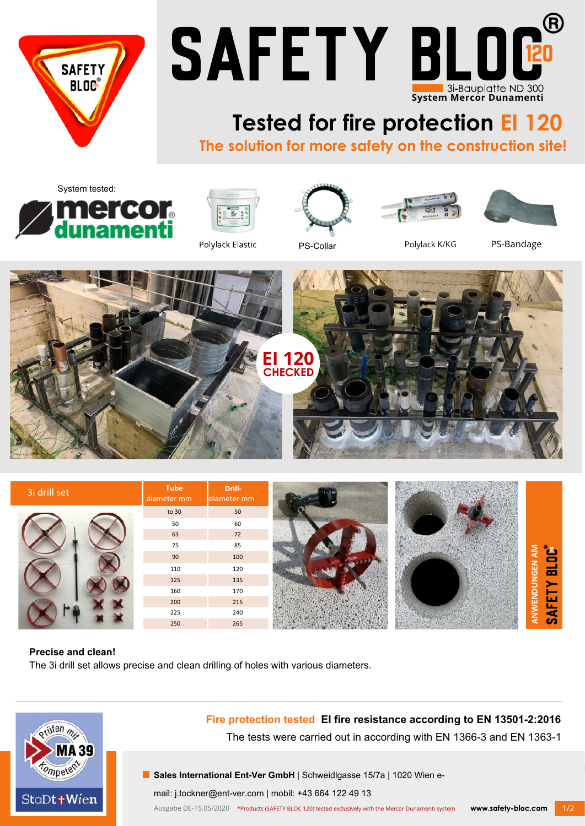



## **Tested for fire protection EI 120**

**The solution for more safety on the construction site!**











Polylack Elastic

PS-Collar Polylack K/KG PS-Bandage





## **Precise and clean!**

The 3i drill set allows precise and clean drilling of holes with various diameters.



## **Fire protection tested EI fire resistance according to EN 13501-2:2016**

The tests were carried out in according with EN 1366-3 and EN 1363-1

**Sales International Ent-Ver GmbH** | Schweidlgasse 15/7a | 1020 Wien e-

mail: j.tockner@ent-ver.com | mobil: +43 664 122 49 13

Ausgabe DE-15.05/2020 \*Products (SAFETY BLOC 120) tested exclusively with the Mercor Dunamenti systemwww.safety-bloc.com